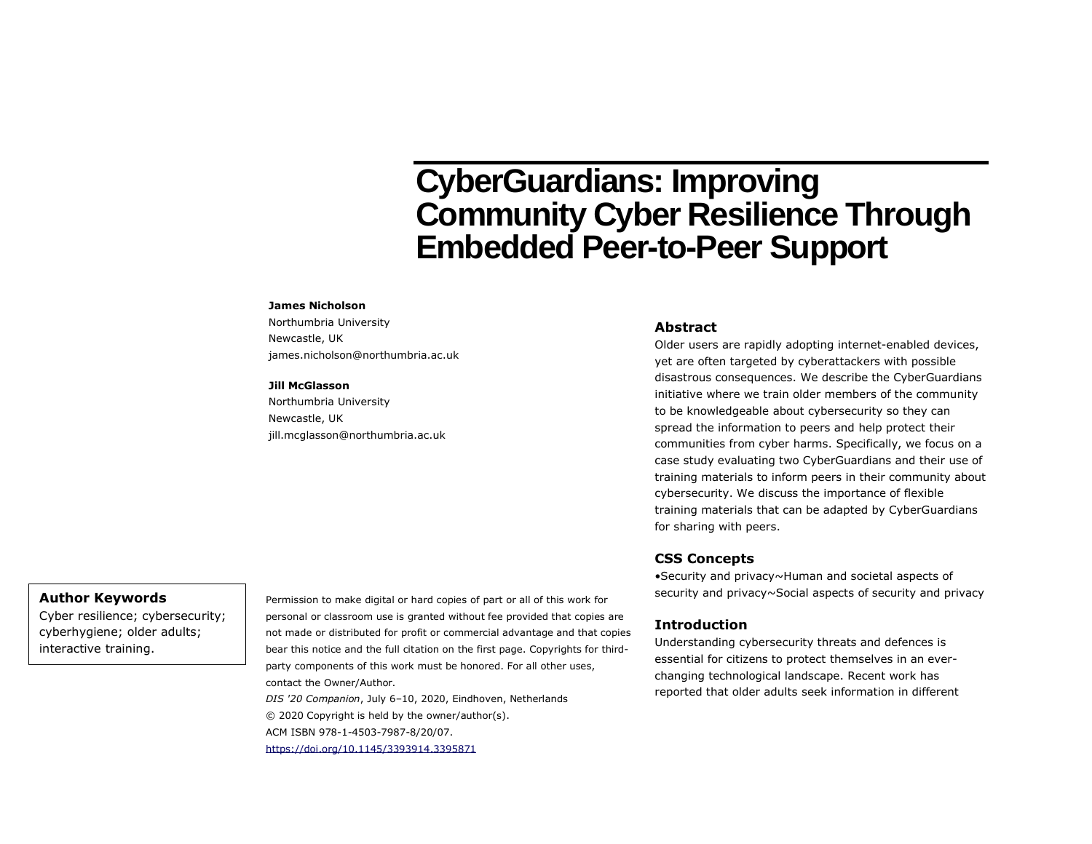# **CyberGuardians: Improving Community Cyber Resilience Through Embedded Peer-to-Peer Support**

#### **James Nicholson**

Northumbria University Newcastle, UK james.nicholson@northumbria.ac.uk

#### **Jill McGlasson**

Northumbria University Newcastle, UK jill.mcglasson@northumbria.ac.uk

### **Abstract**

Older users are rapidly adopting internet-enabled devices, yet are often targeted by cyberattackers with possible disastrous consequences. We describe the CyberGuardians initiative where we train older members of the community to be knowledgeable about cybersecurity so they can spread the information to peers and help protect their communities from cyber harms. Specifically, we focus on a case study evaluating two CyberGuardians and their use of training materials to inform peers in their community about cybersecurity. We discuss the importance of flexible training materials that can be adapted by CyberGuardians for sharing with peers.

## **CSS Concepts**

•Security and privacy~Human and societal aspects of security and privacy~Social aspects of security and privacy

## **Introduction**

Understanding cybersecurity threats and defences is essential for citizens to protect themselves in an everchanging technological landscape. Recent work has reported that older adults seek information in different

## **Author Keywords**

Cyber resilience; cybersecurity; cyberhygiene; older adults; interactive training.

Permission to make digital or hard copies of part or all of this work for personal or classroom use is granted without fee provided that copies are not made or distributed for profit or commercial advantage and that copies bear this notice and the full citation on the first page. Copyrights for thirdparty components of this work must be honored. For all other uses, contact the Owner/Author.

*DIS '20 Companion*, July 6–10, 2020, Eindhoven, Netherlands © 2020 Copyright is held by the owner/author(s). ACM ISBN 978-1-4503-7987-8/20/07.

<https://doi.org/10.1145/3393914.3395871>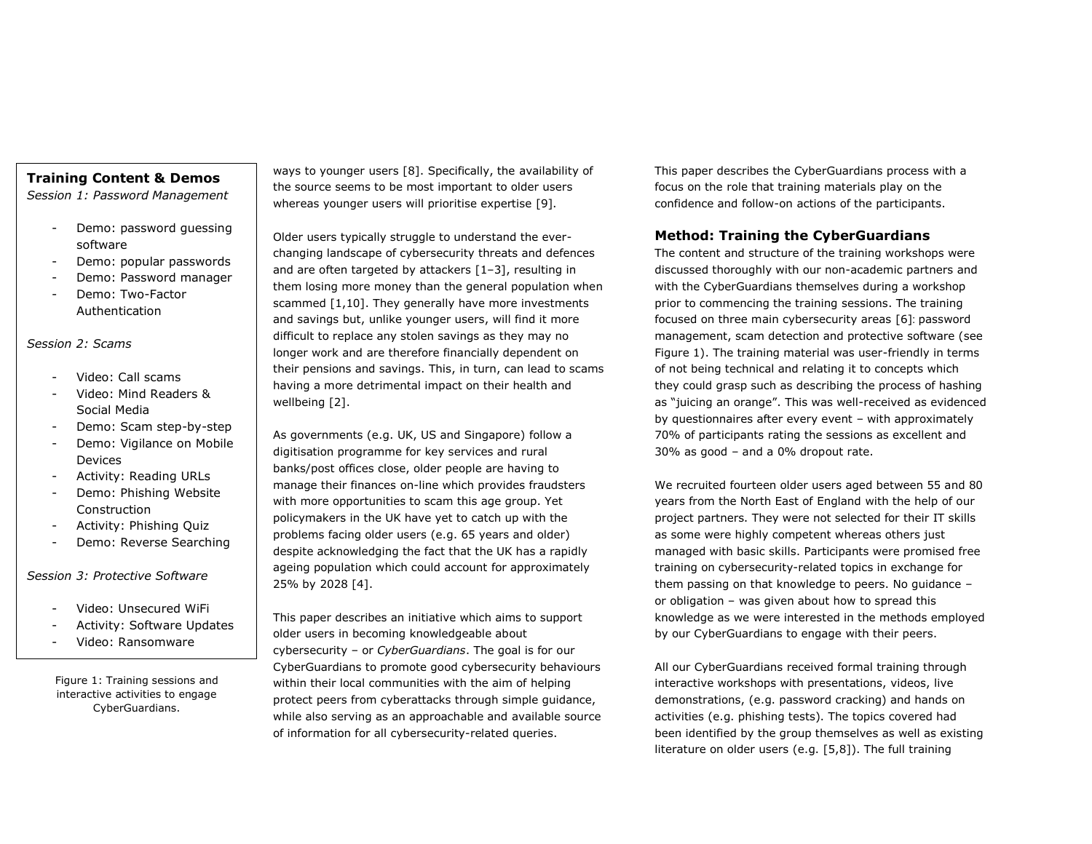# **Training Content & Demos**

*Session 1: Password Management*

- Demo: password guessing software
- Demo: popular passwords
- Demo: Password manager
- Demo: Two-Factor Authentication

## *Session 2: Scams*

- Video: Call scams
- Video: Mind Readers & Social Media
- Demo: Scam step-by-step
- Demo: Vigilance on Mobile Devices
- Activity: Reading URLs
- Demo: Phishing Website Construction
- Activity: Phishing Quiz
- Demo: Reverse Searching

*Session 3: Protective Software*

- Video: Unsecured WiFi
- Activity: Software Updates
- Video: Ransomware

Figure 1: Training sessions and interactive activities to engage CyberGuardians.

ways to younger users [8]. Specifically, the availability of the source seems to be most important to older users whereas younger users will prioritise expertise [9].

Older users typically struggle to understand the everchanging landscape of cybersecurity threats and defences and are often targeted by attackers [1–3], resulting in them losing more money than the general population when scammed [1,10]. They generally have more investments and savings but, unlike younger users, will find it more difficult to replace any stolen savings as they may no longer work and are therefore financially dependent on their pensions and savings. This, in turn, can lead to scams having a more detrimental impact on their health and wellbeing [2].

As governments (e.g. UK, US and Singapore) follow a digitisation programme for key services and rural banks/post offices close, older people are having to manage their finances on-line which provides fraudsters with more opportunities to scam this age group. Yet policymakers in the UK have yet to catch up with the problems facing older users (e.g. 65 years and older) despite acknowledging the fact that the UK has a rapidly ageing population which could account for approximately 25% by 2028 [4].

This paper describes an initiative which aims to support older users in becoming knowledgeable about cybersecurity – or *CyberGuardians*. The goal is for our CyberGuardians to promote good cybersecurity behaviours within their local communities with the aim of helping protect peers from cyberattacks through simple guidance, while also serving as an approachable and available source of information for all cybersecurity-related queries.

This paper describes the CyberGuardians process with a focus on the role that training materials play on the confidence and follow-on actions of the participants.

# **Method: Training the CyberGuardians**

The content and structure of the training workshops were discussed thoroughly with our non-academic partners and with the CyberGuardians themselves during a workshop prior to commencing the training sessions. The training focused on three main cybersecurity areas [6]: password management, scam detection and protective software (see Figure 1). The training material was user-friendly in terms of not being technical and relating it to concepts which they could grasp such as describing the process of hashing as "juicing an orange". This was well-received as evidenced by questionnaires after every event – with approximately 70% of participants rating the sessions as excellent and 30% as good – and a 0% dropout rate.

We recruited fourteen older users aged between 55 and 80 years from the North East of England with the help of our project partners. They were not selected for their IT skills as some were highly competent whereas others just managed with basic skills. Participants were promised free training on cybersecurity-related topics in exchange for them passing on that knowledge to peers. No guidance – or obligation – was given about how to spread this knowledge as we were interested in the methods employed by our CyberGuardians to engage with their peers.

All our CyberGuardians received formal training through interactive workshops with presentations, videos, live demonstrations, (e.g. password cracking) and hands on activities (e.g. phishing tests). The topics covered had been identified by the group themselves as well as existing literature on older users (e.g. [5,8]). The full training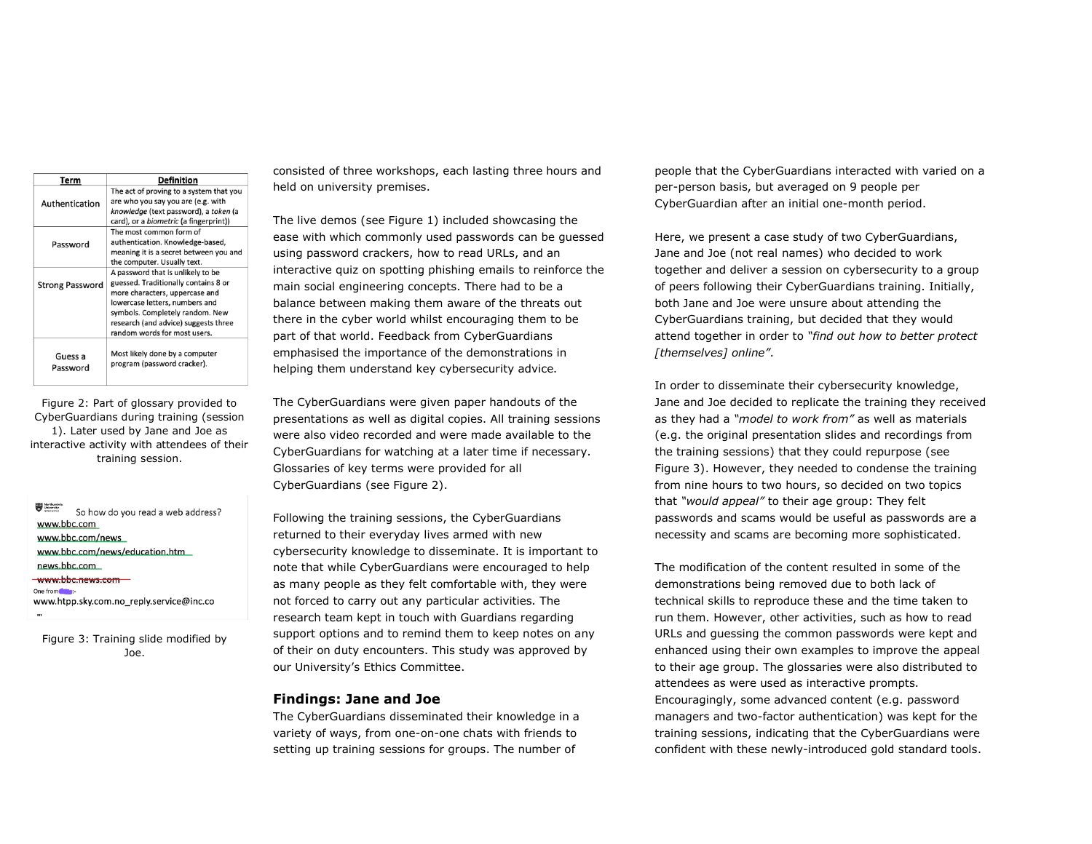| Term                   | <b>Definition</b>                                                                                                                                                                                                                                        |
|------------------------|----------------------------------------------------------------------------------------------------------------------------------------------------------------------------------------------------------------------------------------------------------|
| Authentication         | The act of proving to a system that you<br>are who you say you are (e.g. with<br>knowledge (text password), a token (a<br>card), or a <i>biometric</i> (a fingerprint))                                                                                  |
| Password               | The most common form of<br>authentication. Knowledge-based,<br>meaning it is a secret between you and<br>the computer. Usually text.                                                                                                                     |
| <b>Strong Password</b> | A password that is unlikely to be<br>guessed. Traditionally contains 8 or<br>more characters, uppercase and<br>lowercase letters, numbers and<br>symbols. Completely random. New<br>research (and advice) suggests three<br>random words for most users. |
| Guess a<br>Password    | Most likely done by a computer<br>program (password cracker).                                                                                                                                                                                            |

Figure 2: Part of glossary provided to CyberGuardians during training (session 1). Later used by Jane and Joe as interactive activity with attendees of their training session.

So how do you read a web address? www.bbc.com www.bbc.com/news www.bbc.com/news/education.htm news.bbc.com www.bbc.news.com

One from www.htpp.sky.com.no\_reply.service@inc.co

Figure 3: Training slide modified by Joe.

consisted of three workshops, each lasting three hours and held on university premises.

The live demos (see Figure 1) included showcasing the ease with which commonly used passwords can be guessed using password crackers, how to read URLs, and an interactive quiz on spotting phishing emails to reinforce the main social engineering concepts. There had to be a balance between making them aware of the threats out there in the cyber world whilst encouraging them to be part of that world. Feedback from CyberGuardians emphasised the importance of the demonstrations in helping them understand key cybersecurity advice.

The CyberGuardians were given paper handouts of the presentations as well as digital copies. All training sessions were also video recorded and were made available to the CyberGuardians for watching at a later time if necessary. Glossaries of key terms were provided for all CyberGuardians (see Figure 2).

Following the training sessions, the CyberGuardians returned to their everyday lives armed with new cybersecurity knowledge to disseminate. It is important to note that while CyberGuardians were encouraged to help as many people as they felt comfortable with, they were not forced to carry out any particular activities. The research team kept in touch with Guardians regarding support options and to remind them to keep notes on any of their on duty encounters. This study was approved by our University's Ethics Committee.

## **Findings: Jane and Joe**

The CyberGuardians disseminated their knowledge in a variety of ways, from one-on-one chats with friends to setting up training sessions for groups. The number of

people that the CyberGuardians interacted with varied on a per-person basis, but averaged on 9 people per CyberGuardian after an initial one-month period.

Here, we present a case study of two CyberGuardians, Jane and Joe (not real names) who decided to work together and deliver a session on cybersecurity to a group of peers following their CyberGuardians training. Initially, both Jane and Joe were unsure about attending the CyberGuardians training, but decided that they would attend together in order to *"find out how to better protect [themselves] online"*.

In order to disseminate their cybersecurity knowledge, Jane and Joe decided to replicate the training they received as they had a *"model to work from"* as well as materials (e.g. the original presentation slides and recordings from the training sessions) that they could repurpose (see Figure 3). However, they needed to condense the training from nine hours to two hours, so decided on two topics that *"would appeal"* to their age group: They felt passwords and scams would be useful as passwords are a necessity and scams are becoming more sophisticated.

The modification of the content resulted in some of the demonstrations being removed due to both lack of technical skills to reproduce these and the time taken to run them. However, other activities, such as how to read URLs and guessing the common passwords were kept and enhanced using their own examples to improve the appeal to their age group. The glossaries were also distributed to attendees as were used as interactive prompts. Encouragingly, some advanced content (e.g. password managers and two-factor authentication) was kept for the training sessions, indicating that the CyberGuardians were confident with these newly-introduced gold standard tools.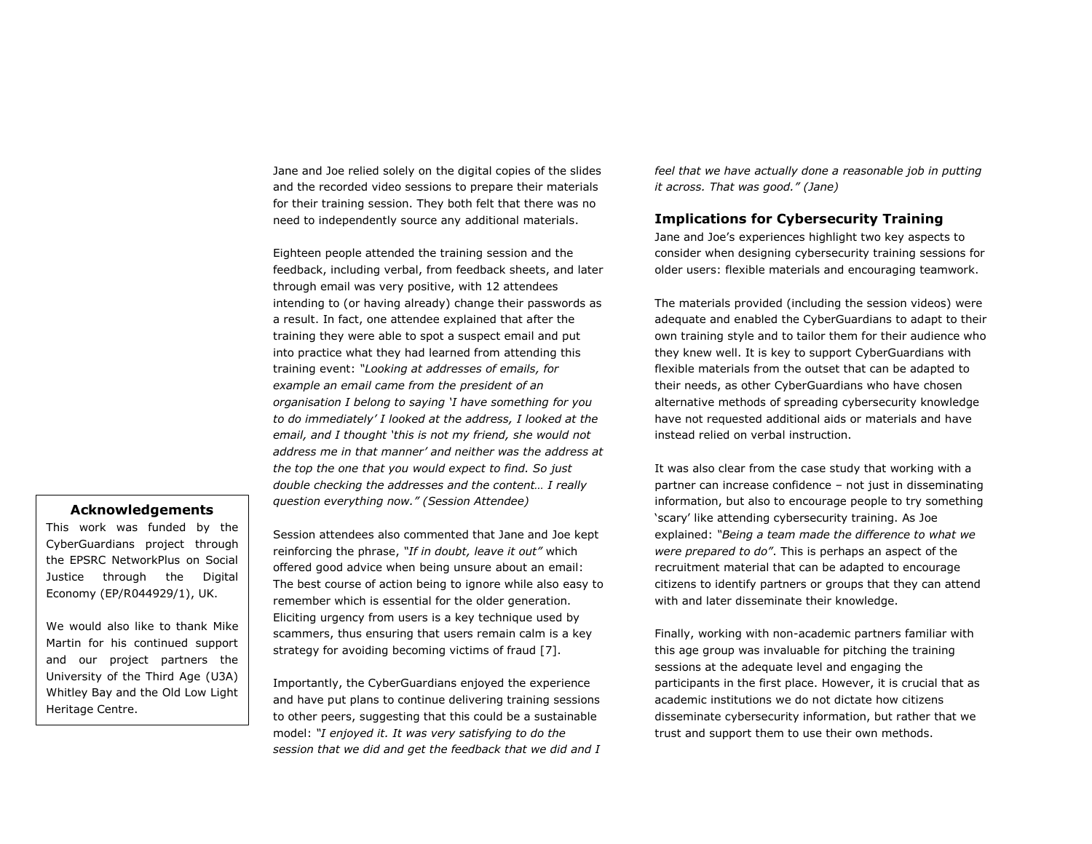Jane and Joe relied solely on the digital copies of the slides and the recorded video sessions to prepare their materials for their training session. They both felt that there was no need to independently source any additional materials.

Eighteen people attended the training session and the feedback, including verbal, from feedback sheets, and later through email was very positive, with 12 attendees intending to (or having already) change their passwords as a result. In fact, one attendee explained that after the training they were able to spot a suspect email and put into practice what they had learned from attending this training event: *"Looking at addresses of emails, for example an email came from the president of an organisation I belong to saying 'I have something for you to do immediately' I looked at the address, I looked at the email, and I thought 'this is not my friend, she would not address me in that manner' and neither was the address at the top the one that you would expect to find. So just double checking the addresses and the content… I really question everything now." (Session Attendee)*

## **Acknowledgements**

This work was funded by the CyberGuardians project through the EPSRC NetworkPlus on Social Justice through the Digital Economy (EP/R044929/1), UK.

We would also like to thank Mike Martin for his continued support and our project partners the University of the Third Age (U3A) Whitley Bay and the Old Low Light Heritage Centre.

Session attendees also commented that Jane and Joe kept reinforcing the phrase, *"If in doubt, leave it out"* which offered good advice when being unsure about an email: The best course of action being to ignore while also easy to remember which is essential for the older generation. Eliciting urgency from users is a key technique used by scammers, thus ensuring that users remain calm is a key strategy for avoiding becoming victims of fraud [7].

Importantly, the CyberGuardians enjoyed the experience and have put plans to continue delivering training sessions to other peers, suggesting that this could be a sustainable model: *"I enjoyed it. It was very satisfying to do the session that we did and get the feedback that we did and I* 

*feel that we have actually done a reasonable job in putting it across. That was good." (Jane)*

## **Implications for Cybersecurity Training**

Jane and Joe's experiences highlight two key aspects to consider when designing cybersecurity training sessions for older users: flexible materials and encouraging teamwork.

The materials provided (including the session videos) were adequate and enabled the CyberGuardians to adapt to their own training style and to tailor them for their audience who they knew well. It is key to support CyberGuardians with flexible materials from the outset that can be adapted to their needs, as other CyberGuardians who have chosen alternative methods of spreading cybersecurity knowledge have not requested additional aids or materials and have instead relied on verbal instruction.

It was also clear from the case study that working with a partner can increase confidence – not just in disseminating information, but also to encourage people to try something 'scary' like attending cybersecurity training. As Joe explained: *"Being a team made the difference to what we were prepared to do"*. This is perhaps an aspect of the recruitment material that can be adapted to encourage citizens to identify partners or groups that they can attend with and later disseminate their knowledge.

Finally, working with non-academic partners familiar with this age group was invaluable for pitching the training sessions at the adequate level and engaging the participants in the first place. However, it is crucial that as academic institutions we do not dictate how citizens disseminate cybersecurity information, but rather that we trust and support them to use their own methods.